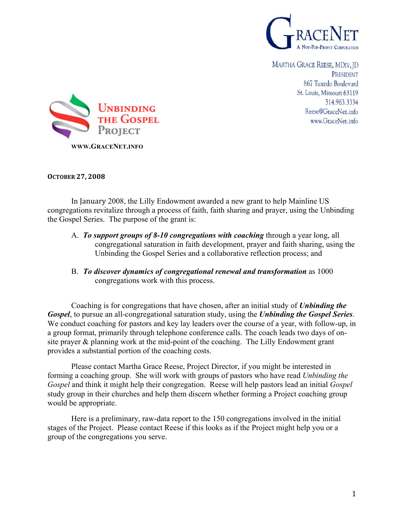

MARTHA GRACE REESE, MDIV, ID PRESIDENT 867 Tuxedo Boulevard St. Louis, Missouri 63119 314.963.3334 Reese@GraceNet.info www.GraceNet.info



## **OCTOBER
27, 2008**

In January 2008, the Lilly Endowment awarded a new grant to help Mainline US congregations revitalize through a process of faith, faith sharing and prayer, using the Unbinding the Gospel Series. The purpose of the grant is:

- A. *To support groups of 8-10 congregations with coaching* through a year long, all congregational saturation in faith development, prayer and faith sharing, using the Unbinding the Gospel Series and a collaborative reflection process; and
- B. *To discover dynamics of congregational renewal and transformation* as 1000 congregations work with this process.

Coaching is for congregations that have chosen, after an initial study of *Unbinding the Gospel*, to pursue an all-congregational saturation study, using the *Unbinding the Gospel Series*. We conduct coaching for pastors and key lay leaders over the course of a year, with follow-up, in a group format, primarily through telephone conference calls. The coach leads two days of onsite prayer & planning work at the mid-point of the coaching. The Lilly Endowment grant provides a substantial portion of the coaching costs.

Please contact Martha Grace Reese, Project Director, if you might be interested in forming a coaching group. She will work with groups of pastors who have read *Unbinding the Gospel* and think it might help their congregation. Reese will help pastors lead an initial *Gospel* study group in their churches and help them discern whether forming a Project coaching group would be appropriate.

Here is a preliminary, raw-data report to the 150 congregations involved in the initial stages of the Project. Please contact Reese if this looks as if the Project might help you or a group of the congregations you serve.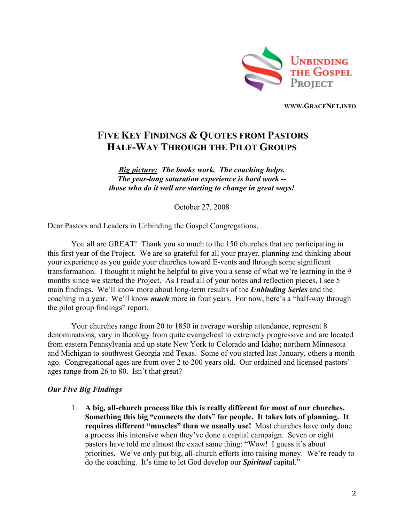

**WWW.GRACENET.INFO** 

# **FIVE KEY FINDINGS & QUOTES FROM PASTORS HALF-WAY THROUGH THE PILOT GROUPS**

*Big picture: The books work. The coaching helps. The year-long saturation experience is hard work - those who do it well are starting to change in great ways!* 

October 27, 2008

Dear Pastors and Leaders in Unbinding the Gospel Congregations,

You all are GREAT! Thank you so much to the 150 churches that are participating in this first year of the Project. We are so grateful for all your prayer, planning and thinking about your experience as you guide your churches toward E-vents and through some significant transformation. I thought it might be helpful to give you a sense of what we're learning in the 9 months since we started the Project. As I read all of your notes and reflection pieces, I see 5 main findings. We'll know more about long-term results of the *Unbinding Series* and the coaching in a year. We'll know *much* more in four years. For now, here's a "half-way through the pilot group findings" report.

Your churches range from 20 to 1850 in average worship attendance, represent 8 denominations, vary in theology from quite evangelical to extremely progressive and are located from eastern Pennsylvania and up state New York to Colorado and Idaho; northern Minnesota and Michigan to southwest Georgia and Texas. Some of you started last January, others a month ago. Congregational ages are from over 2 to 200 years old. Our ordained and licensed pastors' ages range from 26 to 80. Isn't that great?

#### *Our Five Big Findings*

1. **A big, all-church process like this is really different for most of our churches. Something this big "connects the dots" for people. It takes lots of planning. It requires different "muscles" than we usually use!** Most churches have only done a process this intensive when they've done a capital campaign. Seven or eight pastors have told me almost the exact same thing: "Wow! I guess it's about priorities. We've only put big, all-church efforts into raising money. We're ready to do the coaching. It's time to let God develop our *Spiritual* capital."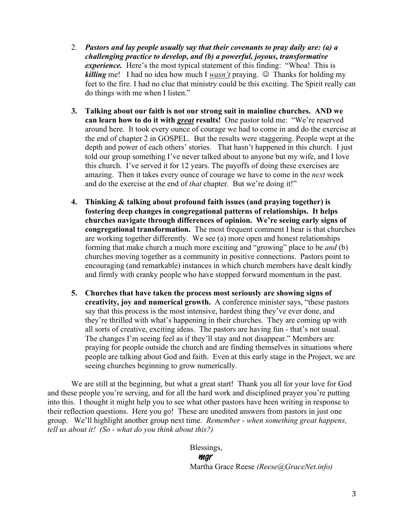- 2. *Pastors and lay people usually say that their covenants to pray daily are: (a) a challenging practice to develop, and (b) a powerful, joyous, transformative experience.* Here's the most typical statement of this finding: "Whoa! This is *killing* me! I had no idea how much I *wasn't* praying.  $\circled{D}$  Thanks for holding my feet to the fire. I had no clue that ministry could be this exciting. The Spirit really can do things with me when I listen."
- **3. Talking about our faith is not our strong suit in mainline churches. AND we can learn how to do it with** *great* **results!** One pastor told me: "We're reserved around here. It took every ounce of courage we had to come in and do the exercise at the end of chapter 2 in GOSPEL. But the results were staggering. People wept at the depth and power of each others' stories. That hasn't happened in this church. I just told our group something I've never talked about to anyone but my wife, and I love this church. I've served it for 12 years. The payoffs of doing these exercises are amazing. Then it takes every ounce of courage we have to come in the *next* week and do the exercise at the end of *that* chapter. But we're doing it!"
- **4. Thinking & talking about profound faith issues (and praying together) is fostering deep changes in congregational patterns of relationships. It helps churches navigate through differences of opinion. We're seeing early signs of congregational transformation.** The most frequent comment I hear is that churches are working together differently. We see (a) more open and honest relationships forming that make church a much more exciting and "growing" place to be *and* (b) churches moving together as a community in positive connections. Pastors point to encouraging (and remarkable) instances in which church members have dealt kindly and firmly with cranky people who have stopped forward momentum in the past.
- **5. Churches that have taken the process most seriously are showing signs of creativity, joy and numerical growth.** A conference minister says, "these pastors say that this process is the most intensive, hardest thing they've ever done, and they're thrilled with what's happening in their churches. They are coming up with all sorts of creative, exciting ideas. The pastors are having fun - that's not usual. The changes I'm seeing feel as if they'll stay and not disappear." Members are praying for people outside the church and are finding themselves in situations where people are talking about God and faith. Even at this early stage in the Project, we are seeing churches beginning to grow numerically.

We are still at the beginning, but what a great start! Thank you all for your love for God and these people you're serving, and for all the hard work and disciplined prayer you're putting into this. I thought it might help you to see what other pastors have been writing in response to their reflection questions. Here you go! These are unedited answers from pastors in just one group. We'll highlight another group next time. *Remember - when something great happens, tell us about it! (So - what do you think about this?)*

> Blessings, mgr Martha Grace Reese *(Reese@GraceNet.info)*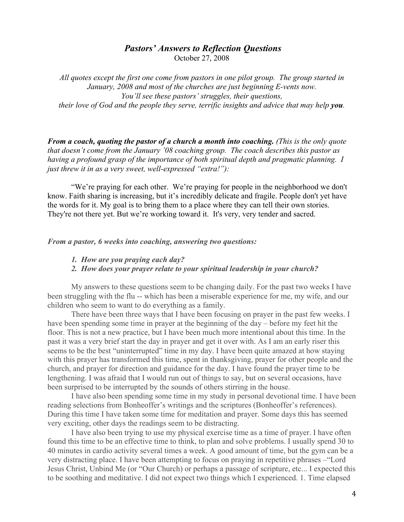# *Pastors' Answers to Reflection Questions* October 27, 2008

*All quotes except the first one come from pastors in one pilot group. The group started in January, 2008 and most of the churches are just beginning E-vents now. You'll see these pastors' struggles, their questions, their love of God and the people they serve, terrific insights and advice that may help you.* 

*From a coach, quoting the pastor of a church a month into coaching. (This is the only quote that doesn't come from the January '08 coaching group. The coach describes this pastor as having a profound grasp of the importance of both spiritual depth and pragmatic planning. I just threw it in as a very sweet, well-expressed "extra!"):*

"We're praying for each other. We're praying for people in the neighborhood we don't know. Faith sharing is increasing, but it's incredibly delicate and fragile. People don't yet have the words for it. My goal is to bring them to a place where they can tell their own stories. They're not there yet. But we're working toward it. It's very, very tender and sacred.

## *From a pastor, 6 weeks into coaching, answering two questions:*

#### *1. How are you praying each day?*

*2. How does your prayer relate to your spiritual leadership in your church?* 

My answers to these questions seem to be changing daily. For the past two weeks I have been struggling with the flu -- which has been a miserable experience for me, my wife, and our children who seem to want to do everything as a family.

There have been three ways that I have been focusing on prayer in the past few weeks. I have been spending some time in prayer at the beginning of the day – before my feet hit the floor. This is not a new practice, but I have been much more intentional about this time. In the past it was a very brief start the day in prayer and get it over with. As I am an early riser this seems to be the best "uninterrupted" time in my day. I have been quite amazed at how staying with this prayer has transformed this time, spent in thanksgiving, prayer for other people and the church, and prayer for direction and guidance for the day. I have found the prayer time to be lengthening. I was afraid that I would run out of things to say, but on several occasions, have been surprised to be interrupted by the sounds of others stirring in the house.

I have also been spending some time in my study in personal devotional time. I have been reading selections from Bonheoffer's writings and the scriptures (Bonheoffer's references). During this time I have taken some time for meditation and prayer. Some days this has seemed very exciting, other days the readings seem to be distracting.

I have also been trying to use my physical exercise time as a time of prayer. I have often found this time to be an effective time to think, to plan and solve problems. I usually spend 30 to 40 minutes in cardio activity several times a week. A good amount of time, but the gym can be a very distracting place. I have been attempting to focus on praying in repetitive phrases –"Lord Jesus Christ, Unbind Me (or "Our Church) or perhaps a passage of scripture, etc... I expected this to be soothing and meditative. I did not expect two things which I experienced. 1. Time elapsed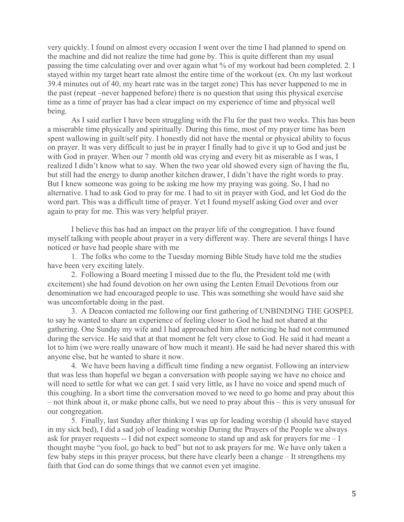very quickly. I found on almost every occasion I went over the time I had planned to spend on the machine and did not realize the time had gone by. This is quite different than my usual passing the time calculating over and over again what % of my workout had been completed. 2. I stayed within my target heart rate almost the entire time of the workout (ex. On my last workout 39.4 minutes out of 40, my heart rate was in the target zone) This has never happened to me in the past (repeat –never happened before) there is no question that using this physical exercise time as a time of prayer has had a clear impact on my experience of time and physical well being.

As I said earlier I have been struggling with the Flu for the past two weeks. This has been a miserable time physically and spiritually. During this time, most of my prayer time has been spent wallowing in guilt/self pity. I honestly did not have the mental or physical ability to focus on prayer. It was very difficult to just be in prayer I finally had to give it up to God and just be with God in prayer. When our 7 month old was crying and every bit as miserable as I was, I realized I didn't know what to say. When the two year old showed every sign of having the flu, but still had the energy to dump another kitchen drawer, I didn't have the right words to pray. But I knew someone was going to be asking me how my praying was going. So, I had no alternative. I had to ask God to pray for me. I had to sit in prayer with God, and let God do the word part. This was a difficult time of prayer. Yet I found myself asking God over and over again to pray for me. This was very helpful prayer.

I believe this has had an impact on the prayer life of the congregation. I have found myself talking with people about prayer in a very different way. There are several things I have noticed or have had people share with me

1. The folks who come to the Tuesday morning Bible Study have told me the studies have been very exciting lately.

2. Following a Board meeting I missed due to the flu, the President told me (with excitement) she had found devotion on her own using the Lenten Email Devotions from our denomination we had encouraged people to use. This was something she would have said she was uncomfortable doing in the past.

3. A Deacon contacted me following our first gathering of UNBINDING THE GOSPEL to say he wanted to share an experience of feeling closer to God he had not shared at the gathering. One Sunday my wife and I had approached him after noticing he had not communed during the service. He said that at that moment he felt very close to God. He said it had meant a lot to him (we were really unaware of how much it meant). He said he had never shared this with anyone else, but he wanted to share it now.

4. We have been having a difficult time finding a new organist. Following an interview that was less than hopeful we began a conversation with people saying we have no choice and will need to settle for what we can get. I said very little, as I have no voice and spend much of this coughing. In a short time the conversation moved to we need to go home and pray about this – not think about it, or make phone calls, but we need to pray about this – this is very unusual for our congregation.

5. Finally, last Sunday after thinking I was up for leading worship (I should have stayed in my sick bed), I did a sad job of leading worship During the Prayers of the People we always ask for prayer requests -- I did not expect someone to stand up and ask for prayers for me – I thought maybe "you fool, go back to bed" but not to ask prayers for me. We have only taken a few baby steps in this prayer process, but there have clearly been a change – It strengthens my faith that God can do some things that we cannot even yet imagine.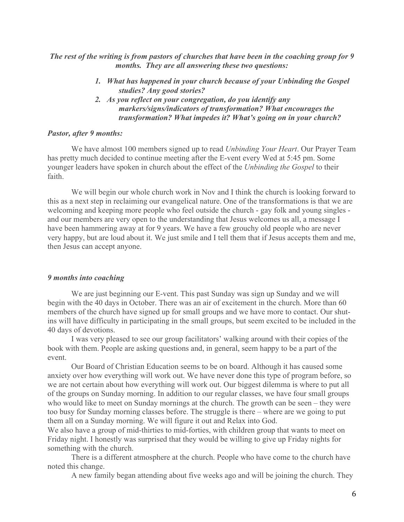*The rest of the writing is from pastors of churches that have been in the coaching group for 9 months. They are all answering these two questions:*

- *1. What has happened in your church because of your Unbinding the Gospel studies? Any good stories?*
- *2. As you reflect on your congregation, do you identify any markers/signs/indicators of transformation? What encourages the transformation? What impedes it? What's going on in your church?*

## *Pastor, after 9 months:*

We have almost 100 members signed up to read *Unbinding Your Heart*. Our Prayer Team has pretty much decided to continue meeting after the E-vent every Wed at 5:45 pm. Some younger leaders have spoken in church about the effect of the *Unbinding the Gospel* to their faith.

We will begin our whole church work in Nov and I think the church is looking forward to this as a next step in reclaiming our evangelical nature. One of the transformations is that we are welcoming and keeping more people who feel outside the church - gay folk and young singles and our members are very open to the understanding that Jesus welcomes us all, a message I have been hammering away at for 9 years. We have a few grouchy old people who are never very happy, but are loud about it. We just smile and I tell them that if Jesus accepts them and me, then Jesus can accept anyone.

#### *9 months into coaching*

We are just beginning our E-vent. This past Sunday was sign up Sunday and we will begin with the 40 days in October. There was an air of excitement in the church. More than 60 members of the church have signed up for small groups and we have more to contact. Our shutins will have difficulty in participating in the small groups, but seem excited to be included in the 40 days of devotions.

I was very pleased to see our group facilitators' walking around with their copies of the book with them. People are asking questions and, in general, seem happy to be a part of the event.

Our Board of Christian Education seems to be on board. Although it has caused some anxiety over how everything will work out. We have never done this type of program before, so we are not certain about how everything will work out. Our biggest dilemma is where to put all of the groups on Sunday morning. In addition to our regular classes, we have four small groups who would like to meet on Sunday mornings at the church. The growth can be seen – they were too busy for Sunday morning classes before. The struggle is there – where are we going to put them all on a Sunday morning. We will figure it out and Relax into God.

We also have a group of mid-thirties to mid-forties, with children group that wants to meet on Friday night. I honestly was surprised that they would be willing to give up Friday nights for something with the church.

There is a different atmosphere at the church. People who have come to the church have noted this change.

A new family began attending about five weeks ago and will be joining the church. They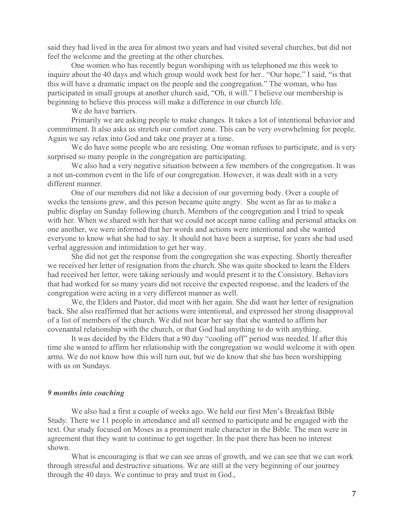said they had lived in the area for almost two years and had visited several churches, but did not feel the welcome and the greeting at the other churches.

One women who has recently begun worshiping with us telephoned me this week to inquire about the 40 days and which group would work best for her.. "Our hope," I said, "is that this will have a dramatic impact on the people and the congregation." The woman, who has participated in small groups at another church said, "Oh, it will." I believe our membership is beginning to believe this process will make a difference in our church life.

We do have barriers.

Primarily we are asking people to make changes. It takes a lot of intentional behavior and commitment. It also asks us stretch our comfort zone. This can be very overwhelming for people. Again we say relax into God and take one prayer at a time.

We do have some people who are resisting. One woman refuses to participate, and is very surprised so many people in the congregation are participating.

We also had a very negative situation between a few members of the congregation. It was a not un-common event in the life of our congregation. However, it was dealt with in a very different manner.

One of our members did not like a decision of our governing body. Over a couple of weeks the tensions grew, and this person became quite angry. She went as far as to make a public display on Sunday following church. Members of the congregation and I tried to speak with her. When we shared with her that we could not accept name calling and personal attacks on one another, we were informed that her words and actions were intentional and she wanted everyone to know what she had to say. It should not have been a surprise, for years she had used verbal aggression and intimidation to get her way.

She did not get the response from the congregation she was expecting. Shortly thereafter we received her letter of resignation from the church. She was quite shocked to learn the Elders had received her letter, were taking seriously and would present it to the Consistory. Behaviors that had worked for so many years did not receive the expected response, and the leaders of the congregation were acting in a very different manner as well.

We, the Elders and Pastor, did meet with her again. She did want her letter of resignation back. She also reaffirmed that her actions were intentional, and expressed her strong disapproval of a list of members of the church. We did not hear her say that she wanted to affirm her covenantal relationship with the church, or that God had anything to do with anything.

It was decided by the Elders that a 90 day "cooling off" period was needed. If after this time she wanted to affirm her relationship with the congregation we would welcome it with open arms. We do not know how this will turn out, but we do know that she has been worshipping with us on Sundays.

### *9 months into coaching*

We also had a first a couple of weeks ago. We held our first Men's Breakfast Bible Study. There we 11 people in attendance and all seemed to participate and be engaged with the text. Our study focused on Moses as a prominent male character in the Bible. The men were in agreement that they want to continue to get together. In the past there has been no interest shown.

What is encouraging is that we can see areas of growth, and we can see that we can work through stressful and destructive situations. We are still at the very beginning of our journey through the 40 days. We continue to pray and trust in God.,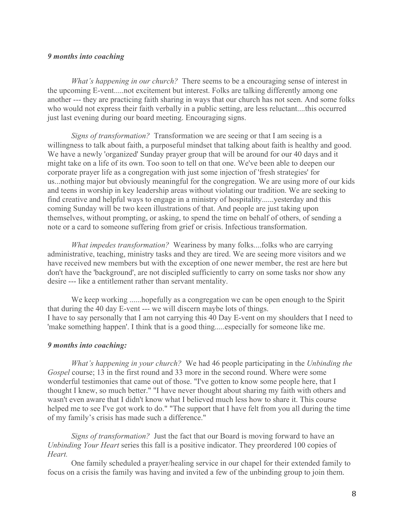## *9 months into coaching*

*What's happening in our church?* There seems to be a encouraging sense of interest in the upcoming E-vent.....not excitement but interest. Folks are talking differently among one another --- they are practicing faith sharing in ways that our church has not seen. And some folks who would not express their faith verbally in a public setting, are less reluctant....this occurred just last evening during our board meeting. Encouraging signs.

*Signs of transformation?* Transformation we are seeing or that I am seeing is a willingness to talk about faith, a purposeful mindset that talking about faith is healthy and good. We have a newly 'organized' Sunday prayer group that will be around for our 40 days and it might take on a life of its own. Too soon to tell on that one. We've been able to deepen our corporate prayer life as a congregation with just some injection of 'fresh strategies' for us...nothing major but obviously meaningful for the congregation. We are using more of our kids and teens in worship in key leadership areas without violating our tradition. We are seeking to find creative and helpful ways to engage in a ministry of hospitality......yesterday and this coming Sunday will be two keen illustrations of that. And people are just taking upon themselves, without prompting, or asking, to spend the time on behalf of others, of sending a note or a card to someone suffering from grief or crisis. Infectious transformation.

*What impedes transformation?* Weariness by many folks....folks who are carrying administrative, teaching, ministry tasks and they are tired. We are seeing more visitors and we have received new members but with the exception of one newer member, the rest are here but don't have the 'background', are not discipled sufficiently to carry on some tasks nor show any desire --- like a entitlement rather than servant mentality.

We keep working ......hopefully as a congregation we can be open enough to the Spirit that during the 40 day E-vent --- we will discern maybe lots of things. I have to say personally that I am not carrying this 40 Day E-vent on my shoulders that I need to 'make something happen'. I think that is a good thing.....especially for someone like me.

# *9 months into coaching:*

*What's happening in your church?* We had 46 people participating in the *Unbinding the Gospel* course; 13 in the first round and 33 more in the second round. Where were some wonderful testimonies that came out of those. "I've gotten to know some people here, that I thought I knew, so much better." "I have never thought about sharing my faith with others and wasn't even aware that I didn't know what I believed much less how to share it. This course helped me to see I've got work to do." "The support that I have felt from you all during the time of my family's crisis has made such a difference."

*Signs of transformation?* Just the fact that our Board is moving forward to have an *Unbinding Your Heart* series this fall is a positive indicator. They preordered 100 copies of *Heart.*

One family scheduled a prayer/healing service in our chapel for their extended family to focus on a crisis the family was having and invited a few of the unbinding group to join them.